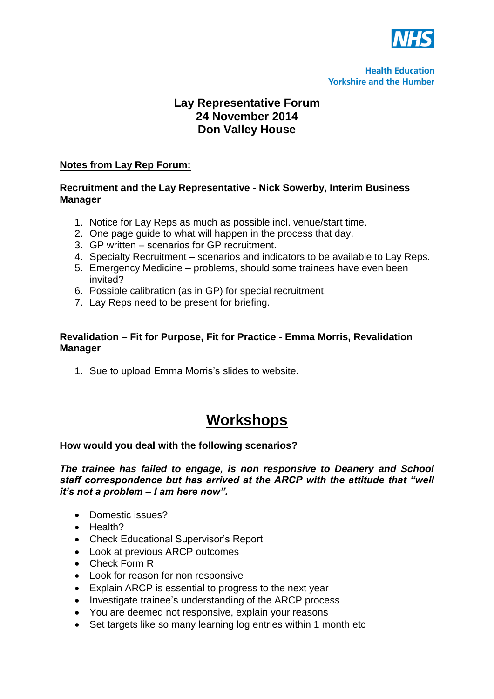

# **Lay Representative Forum 24 November 2014 Don Valley House**

# **Notes from Lay Rep Forum:**

# **Recruitment and the Lay Representative - Nick Sowerby, Interim Business Manager**

- 1. Notice for Lay Reps as much as possible incl. venue/start time.
- 2. One page guide to what will happen in the process that day.
- 3. GP written scenarios for GP recruitment.
- 4. Specialty Recruitment scenarios and indicators to be available to Lay Reps.
- 5. Emergency Medicine problems, should some trainees have even been invited?
- 6. Possible calibration (as in GP) for special recruitment.
- 7. Lay Reps need to be present for briefing.

# **Revalidation – Fit for Purpose, Fit for Practice - Emma Morris, Revalidation Manager**

1. Sue to upload Emma Morris's slides to website.

# **Workshops**

#### **How would you deal with the following scenarios?**

*The trainee has failed to engage, is non responsive to Deanery and School staff correspondence but has arrived at the ARCP with the attitude that "well it's not a problem – I am here now".*

- Domestic issues?
- Health?
- Check Educational Supervisor's Report
- Look at previous ARCP outcomes
- Check Form R
- Look for reason for non responsive
- Explain ARCP is essential to progress to the next year
- Investigate trainee's understanding of the ARCP process
- You are deemed not responsive, explain your reasons
- Set targets like so many learning log entries within 1 month etc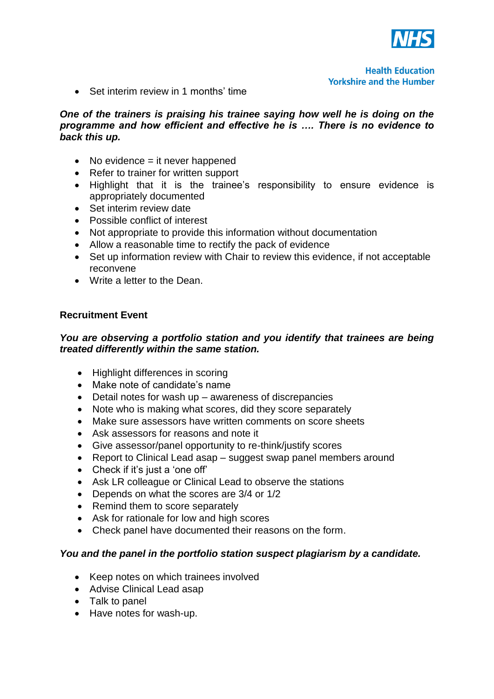

• Set interim review in 1 months' time

#### *One of the trainers is praising his trainee saying how well he is doing on the programme and how efficient and effective he is …. There is no evidence to back this up.*

- $\bullet$  No evidence = it never happened
- Refer to trainer for written support
- Highlight that it is the trainee's responsibility to ensure evidence is appropriately documented
- Set interim review date
- Possible conflict of interest
- Not appropriate to provide this information without documentation
- Allow a reasonable time to rectify the pack of evidence
- Set up information review with Chair to review this evidence, if not acceptable reconvene
- Write a letter to the Dean.

# **Recruitment Event**

# *You are observing a portfolio station and you identify that trainees are being treated differently within the same station.*

- Highlight differences in scoring
- Make note of candidate's name
- Detail notes for wash up awareness of discrepancies
- Note who is making what scores, did they score separately
- Make sure assessors have written comments on score sheets
- Ask assessors for reasons and note it
- Give assessor/panel opportunity to re-think/justify scores
- Report to Clinical Lead asap suggest swap panel members around
- Check if it's just a 'one off'
- Ask LR colleague or Clinical Lead to observe the stations
- Depends on what the scores are 3/4 or 1/2
- Remind them to score separately
- Ask for rationale for low and high scores
- Check panel have documented their reasons on the form.

# *You and the panel in the portfolio station suspect plagiarism by a candidate.*

- Keep notes on which trainees involved
- Advise Clinical Lead asap
- Talk to panel
- Have notes for wash-up.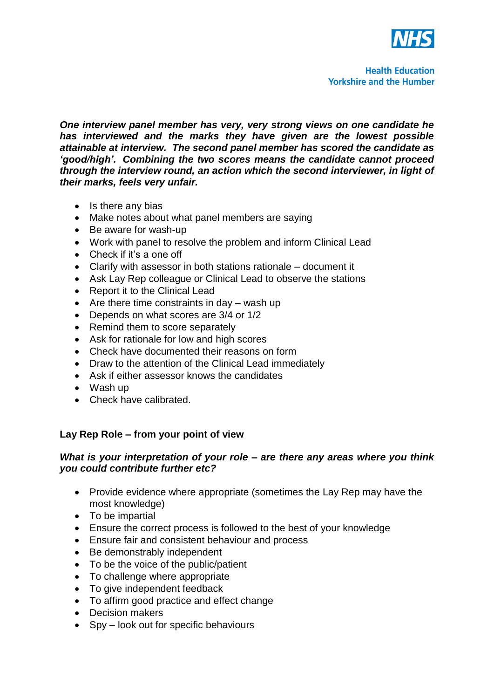

*One interview panel member has very, very strong views on one candidate he has interviewed and the marks they have given are the lowest possible attainable at interview. The second panel member has scored the candidate as 'good/high'. Combining the two scores means the candidate cannot proceed through the interview round, an action which the second interviewer, in light of their marks, feels very unfair.*

- $\bullet$  Is there any bias
- Make notes about what panel members are saying
- Be aware for wash-up
- Work with panel to resolve the problem and inform Clinical Lead
- Check if it's a one off
- Clarify with assessor in both stations rationale document it
- Ask Lay Rep colleague or Clinical Lead to observe the stations
- Report it to the Clinical Lead
- $\bullet$  Are there time constraints in day wash up
- Depends on what scores are 3/4 or 1/2
- Remind them to score separately
- Ask for rationale for low and high scores
- Check have documented their reasons on form
- Draw to the attention of the Clinical Lead immediately
- Ask if either assessor knows the candidates
- Wash up
- Check have calibrated.

# **Lay Rep Role – from your point of view**

#### *What is your interpretation of your role – are there any areas where you think you could contribute further etc?*

- Provide evidence where appropriate (sometimes the Lay Rep may have the most knowledge)
- To be impartial
- Ensure the correct process is followed to the best of your knowledge
- Ensure fair and consistent behaviour and process
- Be demonstrably independent
- To be the voice of the public/patient
- To challenge where appropriate
- To give independent feedback
- To affirm good practice and effect change
- Decision makers
- Spy look out for specific behaviours